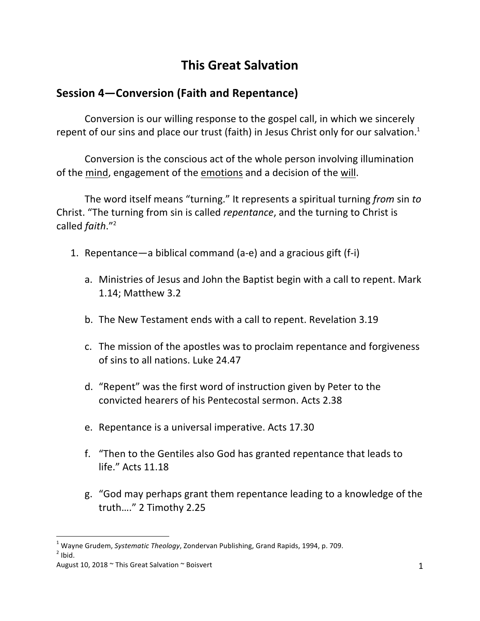## **This Great Salvation**

## **Session 4–Conversion (Faith and Repentance)**

Conversion is our willing response to the gospel call, in which we sincerely repent of our sins and place our trust (faith) in Jesus Christ only for our salvation.<sup>1</sup>

Conversion is the conscious act of the whole person involving illumination of the mind, engagement of the emotions and a decision of the will.

The word itself means "turning." It represents a spiritual turning *from* sin to Christ. "The turning from sin is called *repentance*, and the turning to Christ is called *faith*."<sup>2</sup>

- 1. Repentance—a biblical command (a-e) and a gracious gift (f-i)
	- a. Ministries of Jesus and John the Baptist begin with a call to repent. Mark 1.14; Matthew 3.2
	- b. The New Testament ends with a call to repent. Revelation 3.19
	- c. The mission of the apostles was to proclaim repentance and forgiveness of sins to all nations. Luke 24.47
	- d. "Repent" was the first word of instruction given by Peter to the convicted hearers of his Pentecostal sermon. Acts 2.38
	- e. Repentance is a universal imperative. Acts 17.30
	- f. "Then to the Gentiles also God has granted repentance that leads to life." Acts 11.18
	- g. "God may perhaps grant them repentance leading to a knowledge of the truth…." 2 Timothy 2.25

<sup>&</sup>lt;sup>1</sup> Wayne Grudem, *Systematic Theology*, Zondervan Publishing, Grand Rapids, 1994, p. 709.<br><sup>2</sup> Ibid.

August 10, 2018  $\sim$  This Great Salvation  $\sim$  Boisvert 1 and 200 and 200 and 200 and 200 and 200 and 200 and 200 and 200 and 200 and 200 and 200 and 200 and 200 and 200 and 200 and 200 and 200 and 200 and 200 and 200 and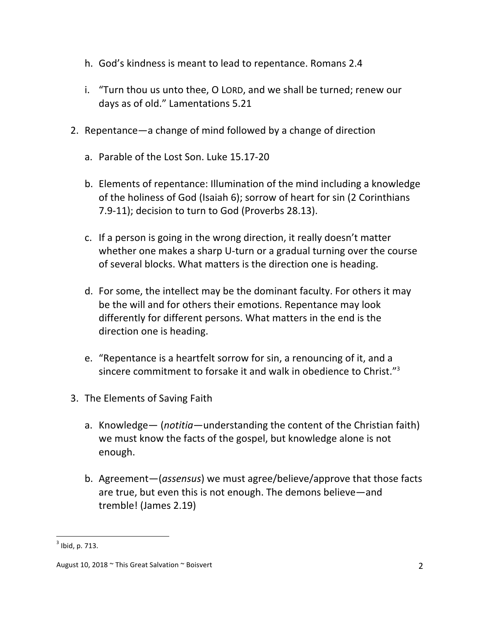- h. God's kindness is meant to lead to repentance. Romans 2.4
- i. "Turn thou us unto thee, O LORD, and we shall be turned; renew our days as of old." Lamentations 5.21
- 2. Repentance—a change of mind followed by a change of direction
	- a. Parable of the Lost Son. Luke 15.17-20
	- b. Elements of repentance: Illumination of the mind including a knowledge of the holiness of God (Isaiah 6); sorrow of heart for sin (2 Corinthians 7.9-11); decision to turn to God (Proverbs 28.13).
	- c. If a person is going in the wrong direction, it really doesn't matter whether one makes a sharp U-turn or a gradual turning over the course of several blocks. What matters is the direction one is heading.
	- d. For some, the intellect may be the dominant faculty. For others it may be the will and for others their emotions. Repentance may look differently for different persons. What matters in the end is the direction one is heading.
	- e. "Repentance is a heartfelt sorrow for sin, a renouncing of it, and a sincere commitment to forsake it and walk in obedience to Christ." $3$
- 3. The Elements of Saving Faith
	- a. Knowledge— (*notitia*—understanding the content of the Christian faith) we must know the facts of the gospel, but knowledge alone is not enough.
	- b. Agreement—(*assensus*) we must agree/believe/approve that those facts are true, but even this is not enough. The demons believe—and tremble! (James 2.19)

 $3$  Ibid, p. 713.

August 10, 2018 ~ This Great Salvation ~ Boisvert 2 2